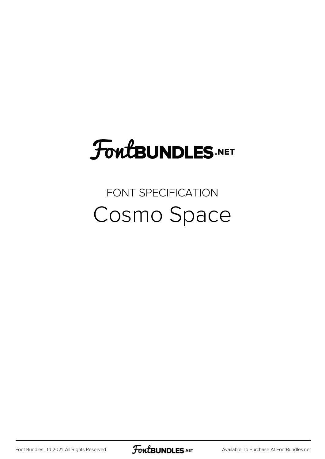### FoutBUNDLES.NET

#### FONT SPECIFICATION Cosmo Space

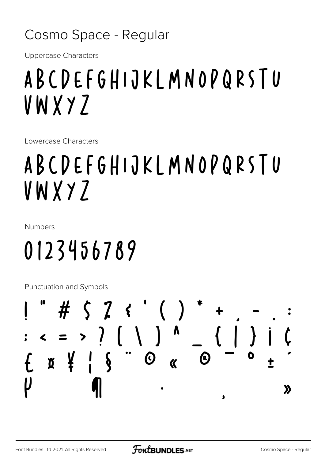#### Cosmo Space - Regular

**Uppercase Characters** 

#### ABCDEFGHIJKLMNOPQRSTU VWXYZ

Lowercase Characters

### ABCDEFGHIJKLMNOPQRSTU VWXYZ

**Numbers** 

## 0123456789

Punctuation and Symbols

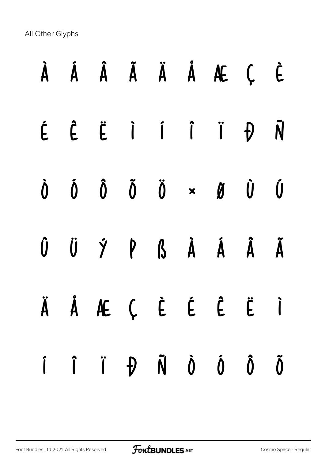All Other Glyphs

# À Á Â Ã Ä Å Æ Ç È É Ê Ë Ì Í Î Ï Ð Ñ Ò Ó Ô Õ Ö × Ø Ù Ú Û Ü Ý Þ ß à á â ã ä å æ ç è é ê ë ì í î ï ð ñ ò ó ô õ